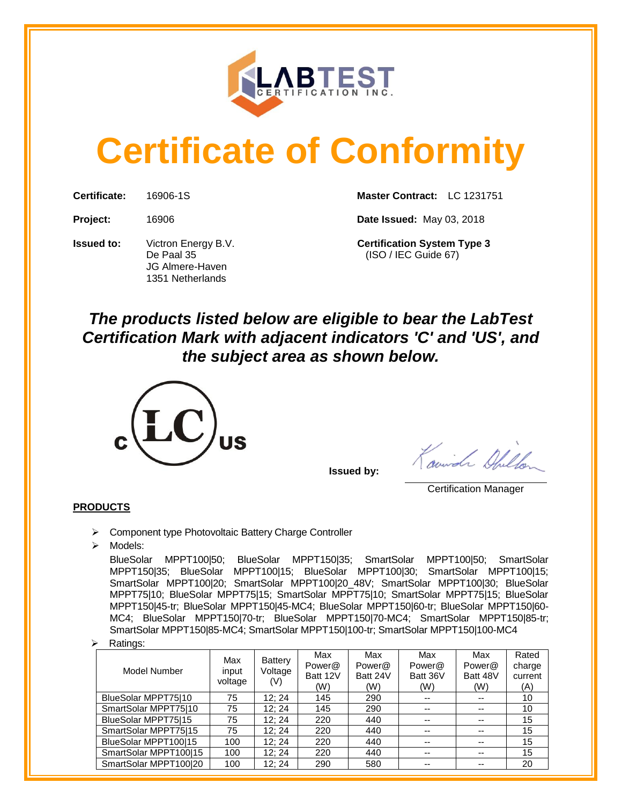

# **Certificate of Conformity**

**Issued to:** Victron Energy B.V. **Certification System Type 3** JG Almere-Haven 1351 Netherlands

**Certificate:** 16906-1S **Master Contract:** LC 1231751

**Project:** 16906 **Date Issued:** May 03, 2018

De Paal 35 (ISO / IEC Guide 67)

## *The products listed below are eligible to bear the LabTest Certification Mark with adjacent indicators 'C' and 'US', and the subject area as shown below.*



**Issued by:** 

Swinger Office

Certification Manager

### **PRODUCTS**

➢ Component type Photovoltaic Battery Charge Controller

➢ Models:

BlueSolar MPPT100|50; BlueSolar MPPT150|35; SmartSolar MPPT100|50; SmartSolar MPPT150|35; BlueSolar MPPT100|15; BlueSolar MPPT100|30; SmartSolar MPPT100|15; SmartSolar MPPT100|20; SmartSolar MPPT100|20\_48V; SmartSolar MPPT100|30; BlueSolar MPPT75|10; BlueSolar MPPT75|15; SmartSolar MPPT75|10; SmartSolar MPPT75|15; BlueSolar MPPT150|45-tr; BlueSolar MPPT150|45-MC4; BlueSolar MPPT150|60-tr; BlueSolar MPPT150|60- MC4; BlueSolar MPPT150|70-tr; BlueSolar MPPT150|70-MC4; SmartSolar MPPT150|85-tr; SmartSolar MPPT150|85-MC4; SmartSolar MPPT150|100-tr; SmartSolar MPPT150|100-MC4

➢ Ratings:

| Model Number          | Max<br>input<br>voltage | Battery<br>Voltage<br>(V) | Max<br>Power@<br>Batt 12V<br>(W) | Max<br>Power@<br>Batt 24V<br>(W) | Max<br>Power@<br>Batt 36V<br>(W) | Max<br>Power@<br>Batt 48V<br>(W) | Rated<br>charge<br>current<br>(A) |
|-----------------------|-------------------------|---------------------------|----------------------------------|----------------------------------|----------------------------------|----------------------------------|-----------------------------------|
| BlueSolar MPPT75110   | 75                      | 12:24                     | 145                              | 290                              |                                  | --                               | 10                                |
| SmartSolar MPPT75110  | 75                      | 12:24                     | 145                              | 290                              | $- -$                            | --                               | 10                                |
| BlueSolar MPPT75115   | 75                      | 12:24                     | 220                              | 440                              | --                               | --                               | 15                                |
| SmartSolar MPPT75115  | 75                      | 12:24                     | 220                              | 440                              | $- -$                            | $-$                              | 15                                |
| BlueSolar MPPT100115  | 100                     | 12:24                     | 220                              | 440                              |                                  | --                               | 15                                |
| SmartSolar MPPT100 15 | 100                     | 12:24                     | 220                              | 440                              | $- -$                            | --                               | 15                                |
| SmartSolar MPPT100 20 | 100                     | 12: 24                    | 290                              | 580                              |                                  | --                               | 20                                |